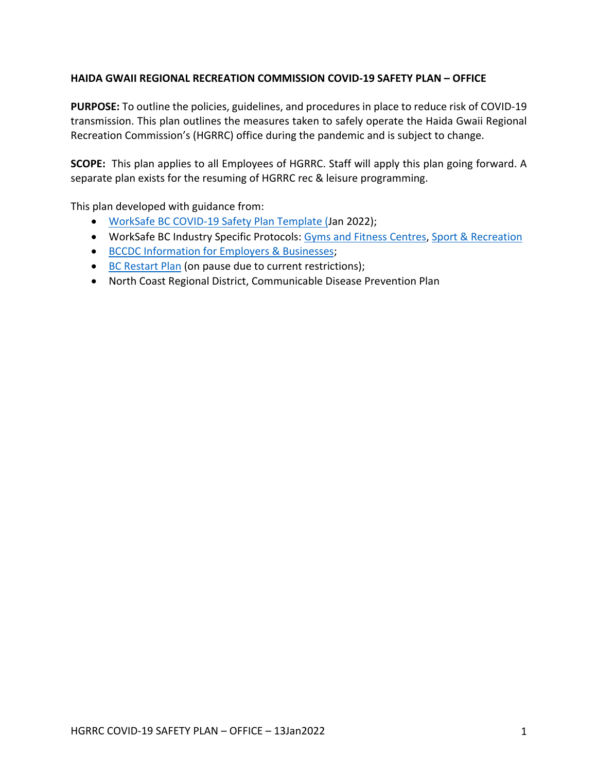### **HAIDA GWAII REGIONAL RECREATION COMMISSION COVID-19 SAFETY PLAN – OFFICE**

**PURPOSE:** To outline the policies, guidelines, and procedures in place to reduce risk of COVID-19 transmission. This plan outlines the measures taken to safely operate the Haida Gwaii Regional Recreation Commission's (HGRRC) office during the pandemic and is subject to change.

**SCOPE:** This plan applies to all Employees of HGRRC. Staff will apply this plan going forward. A separate plan exists for the resuming of HGRRC rec & leisure programming.

This plan developed with guidance from:

- WorkSafe BC COVID-19 Safety Plan Template (Jan 2022);
- WorkSafe BC Industry Specific Protocols: Gyms and Fitness Centres, Sport & Recreation
- BCCDC Information for Employers & Businesses;
- BC Restart Plan (on pause due to current restrictions);
- North Coast Regional District, Communicable Disease Prevention Plan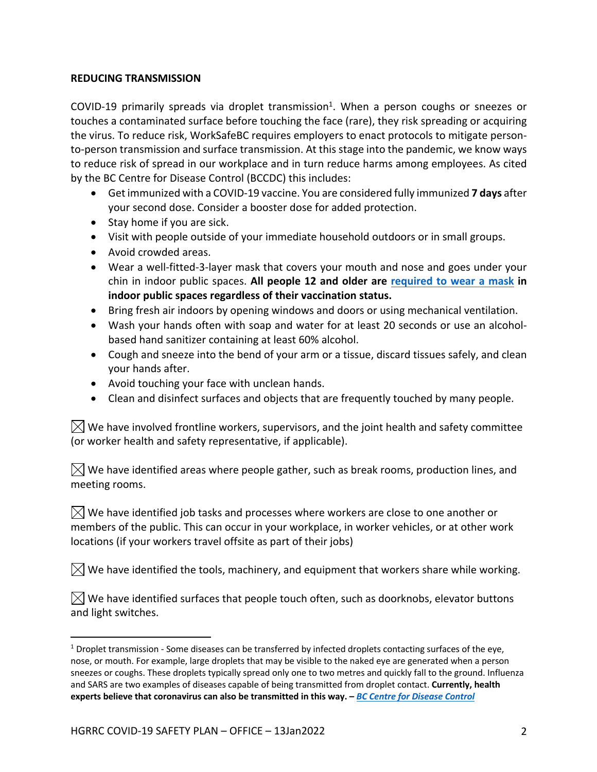### **REDUCING TRANSMISSION**

COVID-19 primarily spreads via droplet transmission<sup>1</sup>. When a person coughs or sneezes or touches a contaminated surface before touching the face (rare), they risk spreading or acquiring the virus. To reduce risk, WorkSafeBC requires employers to enact protocols to mitigate personto-person transmission and surface transmission. At this stage into the pandemic, we know ways to reduce risk of spread in our workplace and in turn reduce harms among employees. As cited by the BC Centre for Disease Control (BCCDC) this includes:

- Get immunized with a COVID-19 vaccine. You are considered fully immunized **7 days** after your second dose. Consider a booster dose for added protection.
- Stay home if you are sick.
- Visit with people outside of your immediate household outdoors or in small groups.
- Avoid crowded areas.
- Wear a well-fitted-3-layer mask that covers your mouth and nose and goes under your chin in indoor public spaces. **All people 12 and older are required to wear a mask in indoor public spaces regardless of their vaccination status.**
- Bring fresh air indoors by opening windows and doors or using mechanical ventilation.
- Wash your hands often with soap and water for at least 20 seconds or use an alcoholbased hand sanitizer containing at least 60% alcohol.
- Cough and sneeze into the bend of your arm or a tissue, discard tissues safely, and clean your hands after.
- Avoid touching your face with unclean hands.
- Clean and disinfect surfaces and objects that are frequently touched by many people.

 $\boxtimes$  We have involved frontline workers, supervisors, and the joint health and safety committee (or worker health and safety representative, if applicable).

 $\boxtimes$  We have identified areas where people gather, such as break rooms, production lines, and meeting rooms.

 $\boxtimes$  We have identified job tasks and processes where workers are close to one another or members of the public. This can occur in your workplace, in worker vehicles, or at other work locations (if your workers travel offsite as part of their jobs)

 $\boxtimes$  We have identified the tools, machinery, and equipment that workers share while working.

 $\boxtimes$  We have identified surfaces that people touch often, such as doorknobs, elevator buttons and light switches.

 $1$  Droplet transmission - Some diseases can be transferred by infected droplets contacting surfaces of the eye, nose, or mouth. For example, large droplets that may be visible to the naked eye are generated when a person sneezes or coughs. These droplets typically spread only one to two metres and quickly fall to the ground. Influenza and SARS are two examples of diseases capable of being transmitted from droplet contact. **Currently, health experts believe that coronavirus can also be transmitted in this way. –** *BC Centre for Disease Control*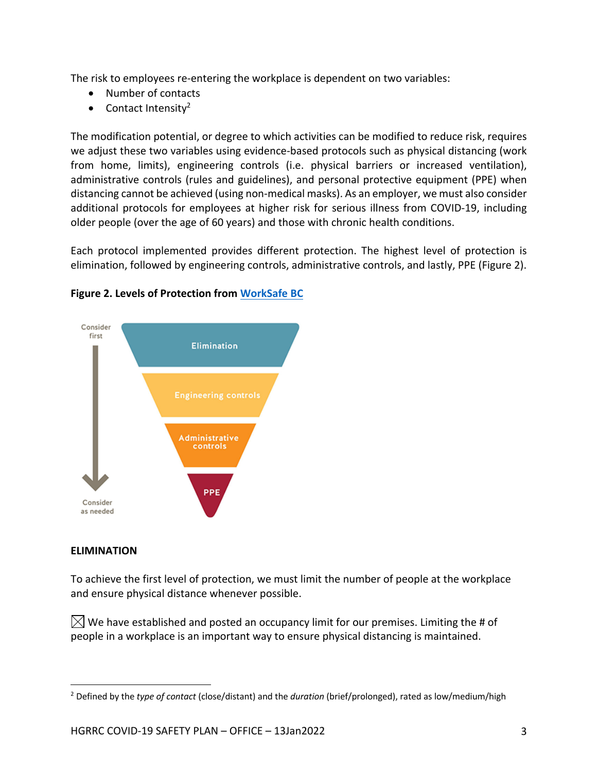The risk to employees re-entering the workplace is dependent on two variables:

- Number of contacts
- Contact Intensity<sup>2</sup>

The modification potential, or degree to which activities can be modified to reduce risk, requires we adjust these two variables using evidence-based protocols such as physical distancing (work from home, limits), engineering controls (i.e. physical barriers or increased ventilation), administrative controls (rules and guidelines), and personal protective equipment (PPE) when distancing cannot be achieved (using non-medical masks). As an employer, we must also consider additional protocols for employees at higher risk for serious illness from COVID-19, including older people (over the age of 60 years) and those with chronic health conditions.

Each protocol implemented provides different protection. The highest level of protection is elimination, followed by engineering controls, administrative controls, and lastly, PPE (Figure 2).



## **Figure 2. Levels of Protection from WorkSafe BC**

#### **ELIMINATION**

To achieve the first level of protection, we must limit the number of people at the workplace and ensure physical distance whenever possible.

 $\boxtimes$  We have established and posted an occupancy limit for our premises. Limiting the # of people in a workplace is an important way to ensure physical distancing is maintained.

<sup>2</sup> Defined by the *type of contact* (close/distant) and the *duration* (brief/prolonged), rated as low/medium/high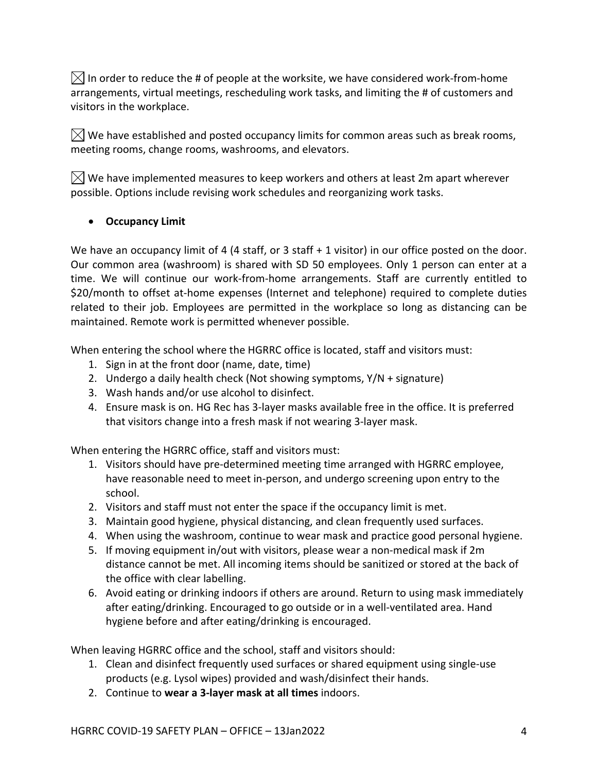$\boxtimes$  In order to reduce the # of people at the worksite, we have considered work-from-home arrangements, virtual meetings, rescheduling work tasks, and limiting the # of customers and visitors in the workplace.

 $\boxtimes$  We have established and posted occupancy limits for common areas such as break rooms, meeting rooms, change rooms, washrooms, and elevators.

 $\boxtimes$  We have implemented measures to keep workers and others at least 2m apart wherever possible. Options include revising work schedules and reorganizing work tasks.

# • **Occupancy Limit**

We have an occupancy limit of 4 (4 staff, or 3 staff + 1 visitor) in our office posted on the door. Our common area (washroom) is shared with SD 50 employees. Only 1 person can enter at a time. We will continue our work-from-home arrangements. Staff are currently entitled to \$20/month to offset at-home expenses (Internet and telephone) required to complete duties related to their job. Employees are permitted in the workplace so long as distancing can be maintained. Remote work is permitted whenever possible.

When entering the school where the HGRRC office is located, staff and visitors must:

- 1. Sign in at the front door (name, date, time)
- 2. Undergo a daily health check (Not showing symptoms, Y/N + signature)
- 3. Wash hands and/or use alcohol to disinfect.
- 4. Ensure mask is on. HG Rec has 3-layer masks available free in the office. It is preferred that visitors change into a fresh mask if not wearing 3-layer mask.

When entering the HGRRC office, staff and visitors must:

- 1. Visitors should have pre-determined meeting time arranged with HGRRC employee, have reasonable need to meet in-person, and undergo screening upon entry to the school.
- 2. Visitors and staff must not enter the space if the occupancy limit is met.
- 3. Maintain good hygiene, physical distancing, and clean frequently used surfaces.
- 4. When using the washroom, continue to wear mask and practice good personal hygiene.
- 5. If moving equipment in/out with visitors, please wear a non-medical mask if 2m distance cannot be met. All incoming items should be sanitized or stored at the back of the office with clear labelling.
- 6. Avoid eating or drinking indoors if others are around. Return to using mask immediately after eating/drinking. Encouraged to go outside or in a well-ventilated area. Hand hygiene before and after eating/drinking is encouraged.

When leaving HGRRC office and the school, staff and visitors should:

- 1. Clean and disinfect frequently used surfaces or shared equipment using single-use products (e.g. Lysol wipes) provided and wash/disinfect their hands.
- 2. Continue to **wear a 3-layer mask at all times** indoors.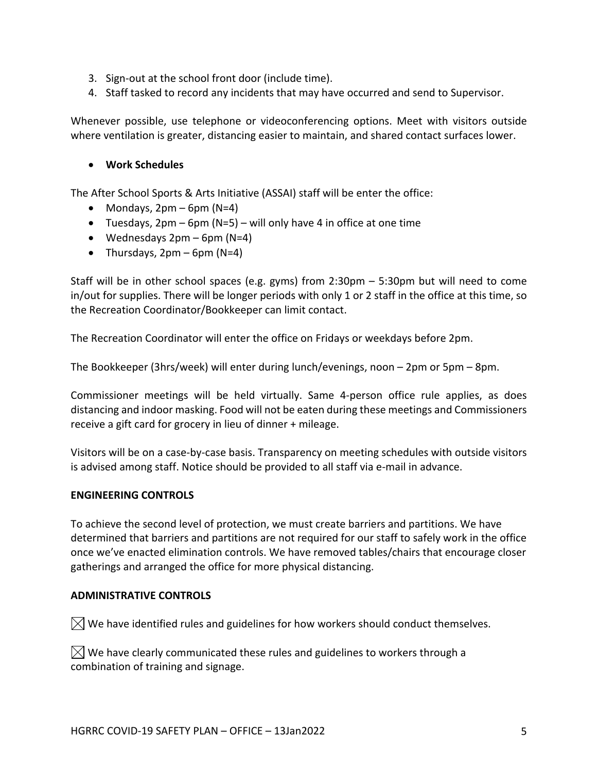- 3. Sign-out at the school front door (include time).
- 4. Staff tasked to record any incidents that may have occurred and send to Supervisor.

Whenever possible, use telephone or videoconferencing options. Meet with visitors outside where ventilation is greater, distancing easier to maintain, and shared contact surfaces lower.

#### • **Work Schedules**

The After School Sports & Arts Initiative (ASSAI) staff will be enter the office:

- Mondays,  $2pm 6pm$  (N=4)
- Tuesdays,  $2pm 6pm$  (N=5) will only have 4 in office at one time
- Wednesdays  $2pm 6pm$  (N=4)
- Thursdays,  $2pm 6pm$  (N=4)

Staff will be in other school spaces (e.g. gyms) from 2:30pm – 5:30pm but will need to come in/out for supplies. There will be longer periods with only 1 or 2 staff in the office at this time, so the Recreation Coordinator/Bookkeeper can limit contact.

The Recreation Coordinator will enter the office on Fridays or weekdays before 2pm.

The Bookkeeper (3hrs/week) will enter during lunch/evenings, noon – 2pm or 5pm – 8pm.

Commissioner meetings will be held virtually. Same 4-person office rule applies, as does distancing and indoor masking. Food will not be eaten during these meetings and Commissioners receive a gift card for grocery in lieu of dinner + mileage.

Visitors will be on a case-by-case basis. Transparency on meeting schedules with outside visitors is advised among staff. Notice should be provided to all staff via e-mail in advance.

#### **ENGINEERING CONTROLS**

To achieve the second level of protection, we must create barriers and partitions. We have determined that barriers and partitions are not required for our staff to safely work in the office once we've enacted elimination controls. We have removed tables/chairs that encourage closer gatherings and arranged the office for more physical distancing.

#### **ADMINISTRATIVE CONTROLS**

 $\boxtimes$  We have identified rules and guidelines for how workers should conduct themselves.

 $\vert\angle\vert$  We have clearly communicated these rules and guidelines to workers through a combination of training and signage.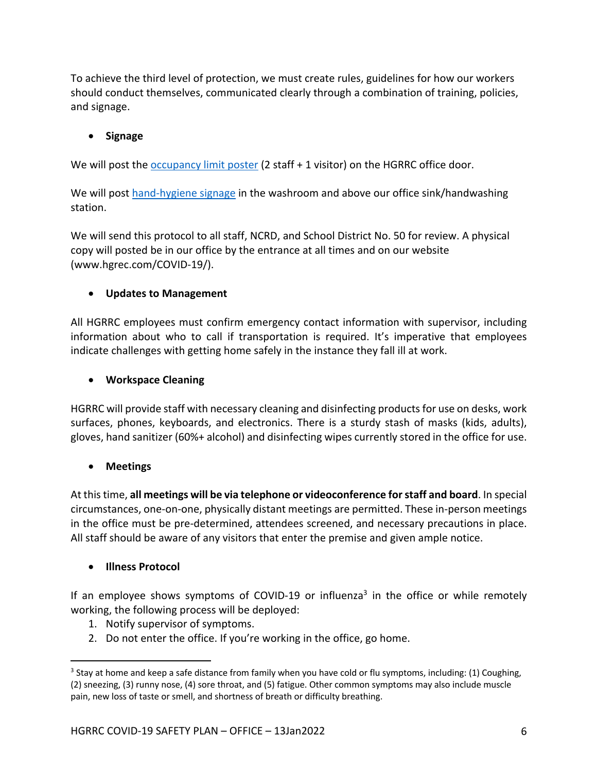To achieve the third level of protection, we must create rules, guidelines for how our workers should conduct themselves, communicated clearly through a combination of training, policies, and signage.

# • **Signage**

We will post the occupancy limit poster (2 staff + 1 visitor) on the HGRRC office door.

We will post hand-hygiene signage in the washroom and above our office sink/handwashing station.

We will send this protocol to all staff, NCRD, and School District No. 50 for review. A physical copy will posted be in our office by the entrance at all times and on our website (www.hgrec.com/COVID-19/).

# • **Updates to Management**

All HGRRC employees must confirm emergency contact information with supervisor, including information about who to call if transportation is required. It's imperative that employees indicate challenges with getting home safely in the instance they fall ill at work.

# • **Workspace Cleaning**

HGRRC will provide staff with necessary cleaning and disinfecting products for use on desks, work surfaces, phones, keyboards, and electronics. There is a sturdy stash of masks (kids, adults), gloves, hand sanitizer (60%+ alcohol) and disinfecting wipes currently stored in the office for use.

# • **Meetings**

At this time, **all meetings will be via telephone or videoconference for staff and board**. In special circumstances, one-on-one, physically distant meetings are permitted. These in-person meetings in the office must be pre-determined, attendees screened, and necessary precautions in place. All staff should be aware of any visitors that enter the premise and given ample notice.

# • **Illness Protocol**

If an employee shows symptoms of COVID-19 or influenza<sup>3</sup> in the office or while remotely working, the following process will be deployed:

- 1. Notify supervisor of symptoms.
- 2. Do not enter the office. If you're working in the office, go home.

<sup>&</sup>lt;sup>3</sup> Stay at home and keep a safe distance from family when you have cold or flu symptoms, including: (1) Coughing, (2) sneezing, (3) runny nose, (4) sore throat, and (5) fatigue. Other common symptoms may also include muscle pain, new loss of taste or smell, and shortness of breath or difficulty breathing.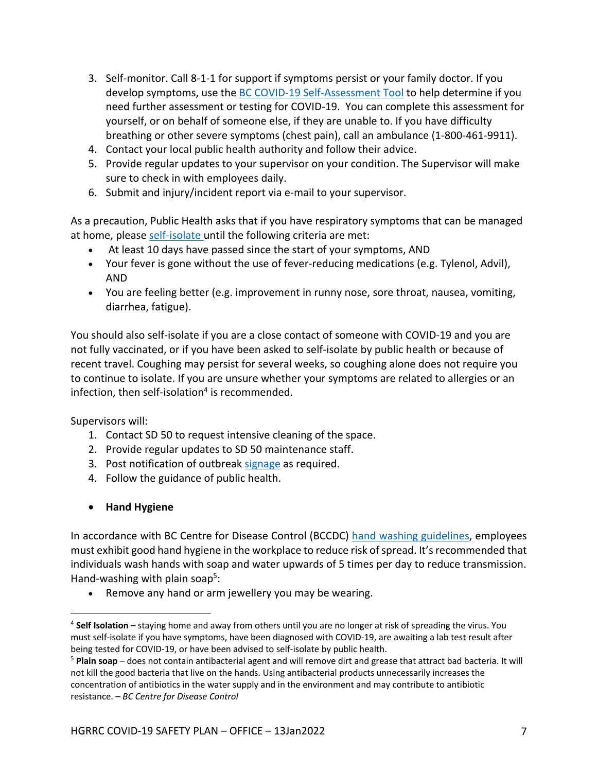- 3. Self-monitor. Call 8-1-1 for support if symptoms persist or your family doctor. If you develop symptoms, use the BC COVID-19 Self-Assessment Tool to help determine if you need further assessment or testing for COVID-19. You can complete this assessment for yourself, or on behalf of someone else, if they are unable to. If you have difficulty breathing or other severe symptoms (chest pain), call an ambulance (1-800-461-9911).
- 4. Contact your local public health authority and follow their advice.
- 5. Provide regular updates to your supervisor on your condition. The Supervisor will make sure to check in with employees daily.
- 6. Submit and injury/incident report via e-mail to your supervisor.

As a precaution, Public Health asks that if you have respiratory symptoms that can be managed at home, please self-isolate until the following criteria are met:

- At least 10 days have passed since the start of your symptoms, AND
- Your fever is gone without the use of fever-reducing medications (e.g. Tylenol, Advil), AND
- You are feeling better (e.g. improvement in runny nose, sore throat, nausea, vomiting, diarrhea, fatigue).

You should also self-isolate if you are a close contact of someone with COVID-19 and you are not fully vaccinated, or if you have been asked to self-isolate by public health or because of recent travel. Coughing may persist for several weeks, so coughing alone does not require you to continue to isolate. If you are unsure whether your symptoms are related to allergies or an infection, then self-isolation $4$  is recommended.

Supervisors will:

- 1. Contact SD 50 to request intensive cleaning of the space.
- 2. Provide regular updates to SD 50 maintenance staff.
- 3. Post notification of outbreak signage as required.
- 4. Follow the guidance of public health.
- **Hand Hygiene**

In accordance with BC Centre for Disease Control (BCCDC) hand washing guidelines, employees must exhibit good hand hygiene in the workplace to reduce risk of spread. It's recommended that individuals wash hands with soap and water upwards of 5 times per day to reduce transmission. Hand-washing with plain soap<sup>5</sup>:

• Remove any hand or arm jewellery you may be wearing.

<sup>4</sup> **Self Isolation** – staying home and away from others until you are no longer at risk of spreading the virus. You must self-isolate if you have symptoms, have been diagnosed with COVID-19, are awaiting a lab test result after being tested for COVID-19, or have been advised to self-isolate by public health.

<sup>5</sup> **Plain soap** – does not contain antibacterial agent and will remove dirt and grease that attract bad bacteria. It will not kill the good bacteria that live on the hands. Using antibacterial products unnecessarily increases the concentration of antibiotics in the water supply and in the environment and may contribute to antibiotic resistance. – *BC Centre for Disease Control*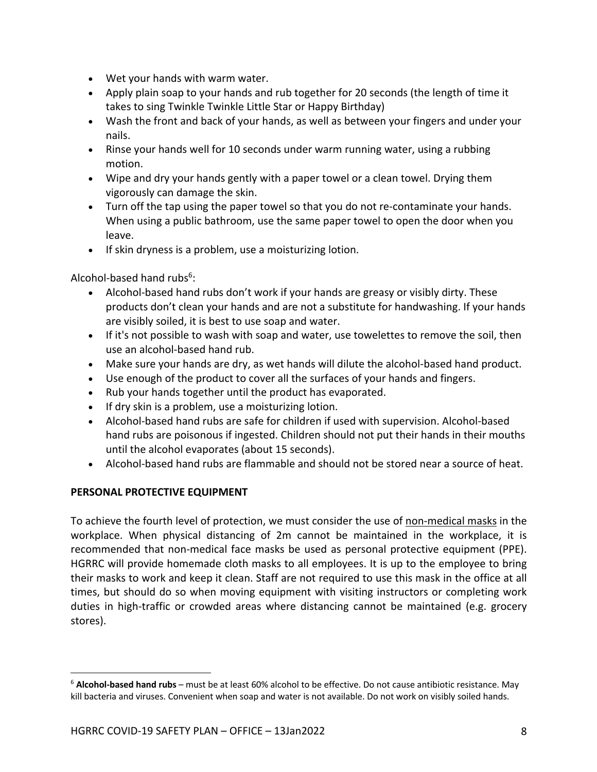- Wet your hands with warm water.
- Apply plain soap to your hands and rub together for 20 seconds (the length of time it takes to sing Twinkle Twinkle Little Star or Happy Birthday)
- Wash the front and back of your hands, as well as between your fingers and under your nails.
- Rinse your hands well for 10 seconds under warm running water, using a rubbing motion.
- Wipe and dry your hands gently with a paper towel or a clean towel. Drying them vigorously can damage the skin.
- Turn off the tap using the paper towel so that you do not re-contaminate your hands. When using a public bathroom, use the same paper towel to open the door when you leave.
- If skin dryness is a problem, use a moisturizing lotion.

Alcohol-based hand rubs $6$ :

- Alcohol-based hand rubs don't work if your hands are greasy or visibly dirty. These products don't clean your hands and are not a substitute for handwashing. If your hands are visibly soiled, it is best to use soap and water.
- If it's not possible to wash with soap and water, use towelettes to remove the soil, then use an alcohol-based hand rub.
- Make sure your hands are dry, as wet hands will dilute the alcohol-based hand product.
- Use enough of the product to cover all the surfaces of your hands and fingers.
- Rub your hands together until the product has evaporated.
- If dry skin is a problem, use a moisturizing lotion.
- Alcohol-based hand rubs are safe for children if used with supervision. Alcohol-based hand rubs are poisonous if ingested. Children should not put their hands in their mouths until the alcohol evaporates (about 15 seconds).
- Alcohol-based hand rubs are flammable and should not be stored near a source of heat.

### **PERSONAL PROTECTIVE EQUIPMENT**

To achieve the fourth level of protection, we must consider the use of non-medical masks in the workplace. When physical distancing of 2m cannot be maintained in the workplace, it is recommended that non-medical face masks be used as personal protective equipment (PPE). HGRRC will provide homemade cloth masks to all employees. It is up to the employee to bring their masks to work and keep it clean. Staff are not required to use this mask in the office at all times, but should do so when moving equipment with visiting instructors or completing work duties in high-traffic or crowded areas where distancing cannot be maintained (e.g. grocery stores).

<sup>6</sup> **Alcohol-based hand rubs** – must be at least 60% alcohol to be effective. Do not cause antibiotic resistance. May kill bacteria and viruses. Convenient when soap and water is not available. Do not work on visibly soiled hands.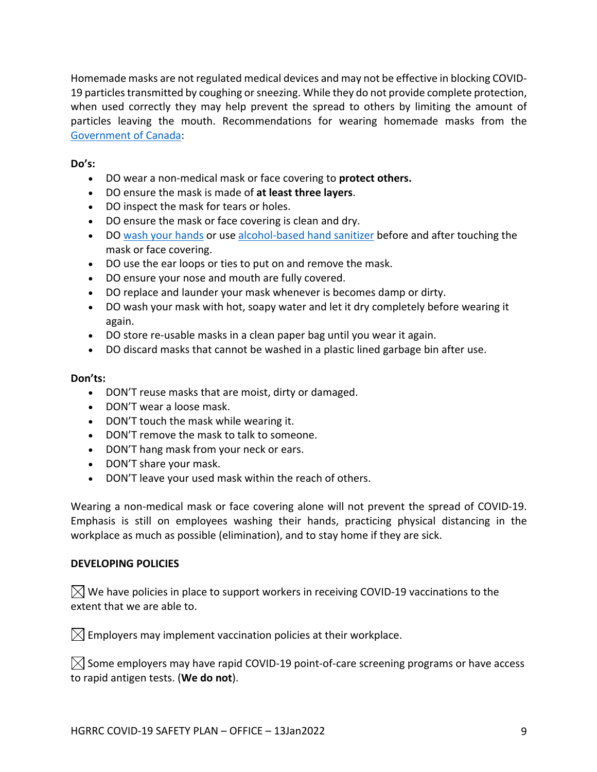Homemade masks are not regulated medical devices and may not be effective in blocking COVID-19 particles transmitted by coughing or sneezing. While they do not provide complete protection, when used correctly they may help prevent the spread to others by limiting the amount of particles leaving the mouth. Recommendations for wearing homemade masks from the Government of Canada:

### **Do's:**

- DO wear a non-medical mask or face covering to **protect others.**
- DO ensure the mask is made of **at least three layers**.
- DO inspect the mask for tears or holes.
- DO ensure the mask or face covering is clean and dry.
- DO wash your hands or use alcohol-based hand sanitizer before and after touching the mask or face covering.
- DO use the ear loops or ties to put on and remove the mask.
- DO ensure your nose and mouth are fully covered.
- DO replace and launder your mask whenever is becomes damp or dirty.
- DO wash your mask with hot, soapy water and let it dry completely before wearing it again.
- DO store re-usable masks in a clean paper bag until you wear it again.
- DO discard masks that cannot be washed in a plastic lined garbage bin after use.

#### **Don'ts:**

- DON'T reuse masks that are moist, dirty or damaged.
- DON'T wear a loose mask.
- DON'T touch the mask while wearing it.
- DON'T remove the mask to talk to someone.
- DON'T hang mask from your neck or ears.
- DON'T share your mask.
- DON'T leave your used mask within the reach of others.

Wearing a non-medical mask or face covering alone will not prevent the spread of COVID-19. Emphasis is still on employees washing their hands, practicing physical distancing in the workplace as much as possible (elimination), and to stay home if they are sick.

#### **DEVELOPING POLICIES**

 $\bowtie$  We have policies in place to support workers in receiving COVID-19 vaccinations to the extent that we are able to.

 $\boxtimes$  Employers may implement vaccination policies at their workplace.

 $\boxtimes$  Some employers may have rapid COVID-19 point-of-care screening programs or have access to rapid antigen tests. (**We do not**).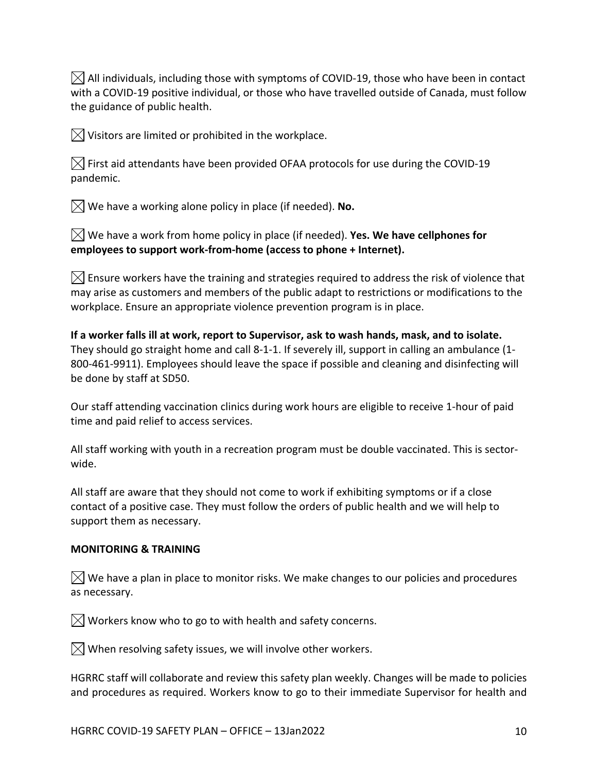$\boxtimes$  All individuals, including those with symptoms of COVID-19, those who have been in contact with a COVID-19 positive individual, or those who have travelled outside of Canada, must follow the guidance of public health.

 $\boxtimes$  Visitors are limited or prohibited in the workplace.

 $\boxtimes$  First aid attendants have been provided OFAA protocols for use during the COVID-19 pandemic.

 $\boxtimes$  We have a working alone policy in place (if needed). **No.** 

We have a work from home policy in place (if needed). **Yes. We have cellphones for employees to support work-from-home (access to phone + Internet).**

 $\boxtimes$  Ensure workers have the training and strategies required to address the risk of violence that may arise as customers and members of the public adapt to restrictions or modifications to the workplace. Ensure an appropriate violence prevention program is in place.

**If a worker falls ill at work, report to Supervisor, ask to wash hands, mask, and to isolate.**  They should go straight home and call 8-1-1. If severely ill, support in calling an ambulance (1- 800-461-9911). Employees should leave the space if possible and cleaning and disinfecting will be done by staff at SD50.

Our staff attending vaccination clinics during work hours are eligible to receive 1-hour of paid time and paid relief to access services.

All staff working with youth in a recreation program must be double vaccinated. This is sectorwide.

All staff are aware that they should not come to work if exhibiting symptoms or if a close contact of a positive case. They must follow the orders of public health and we will help to support them as necessary.

### **MONITORING & TRAINING**

 $\boxtimes$  We have a plan in place to monitor risks. We make changes to our policies and procedures as necessary.

 $\boxtimes$  Workers know who to go to with health and safety concerns.

 $\boxtimes$  When resolving safety issues, we will involve other workers.

HGRRC staff will collaborate and review this safety plan weekly. Changes will be made to policies and procedures as required. Workers know to go to their immediate Supervisor for health and